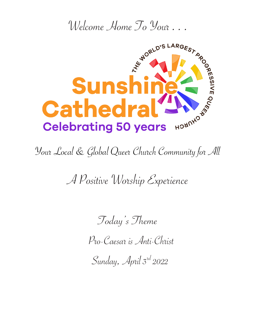

Your Local & Global Queer Church Community for All

A Positive Worship Experience

Today's Theme

Pro-Caesar is Anti-Christ

Sunday, April  $3^{rd}$  2022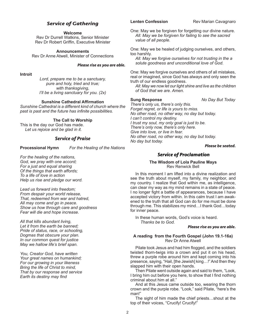# *Service of Gathering*

**Welcome**

Rev Dr Durrell Watkins, Senior Minister Rev Dr Robert Griffin, Executive Minister

**Announcements**  Rev Dr Anne Atwell, Minister of Connections

# *Please rise as you are able.*

**Introit** 

*Lord, prepare me to be a sanctuary, pure and holy, tried and true; with thanksgiving, I'll be a living sanctuary for you. (2x)*

# **Sunshine Cathedral Affirmation**

*Sunshine Cathedral is a different kind of church where the past is past and the future has infinite possibilities.*

**The Call to Worship**

This is the day our God has made. *Let us rejoice and be glad in it.*

# *Service of Praise*

**Processional Hymn** *For the Healing of the Nations*

*For the healing of the nations, God, we pray with one accord; For a just and equal sharing Of the things that earth affords; To a life of love in action Help us rise and pledge our word.*

*Lead us forward into freedom; From despair your world release, That, redeemed from war and hatred, All may come and go in peace. Show us how through care and goodness Fear will die and hope increase.*

*All that kills abundant living, Let it from the earth be banned; Pride of status, race, or schooling, Dogmas that obscure your plan. In our common quest for justice May we hallow life's brief span.*

*You, Creator God, have written Your great names on humankind; For our growing in your likeness Bring the life of Christ to mind, That by our response and service Earth its destiny may find* 

**Lenten Confession Rev Marian Cavagnaro** 

One: May we be forgiven for forgetting our divine nature. *All: May we be forgiven for failing to see the sacred value of all people.* 

One: May we be healed of judging ourselves, and others, too harshly.

*All: May we forgive ourselves for not trusting in the a solute goodness and unconditional love of God.* 

One: May we forgive ourselves and others of all mistakes, real or imagined, since God has always and only seen the truth of our endless goodness.

*All: May we now let our light shine and live as the children of God that we are. Amen.*

**Sung Response** *No Day But Today* 

*There's only us, there's only this. Forget regret, or life is yours to miss. No other road, no other way, no day but today. I can't control my destiny. I trust my soul, my only goal is just to be. There's only now, there's only here. Give into love, or live in fear. No other road, no other way, no day but today. No day but today.*

*Please be seated.*

# *Service of Proclamation*

# **The Wisdom of Lola Pauline Mays** Rev Renwick Bell

In this moment I am lifted into a divine realization and see the truth about myself, my family, my neighbor, and my country. I realize that God within me, as intelligence, can clear my way as my mind remains in a state of peace. I no longer fight a battle of appearances, because I have accepted victory from within. In this calm trust I am awakened to the truth that all God can do for me must be done through me. This stabilizes my mind…I thank God…today for inner peace.

In these human words, God's voice is heard. *Thanks be to God.*

### *Please rise as you are able.*

# **A reading from the Fourth Gospel (John 19.1-16a)** Rev Dr Anne Atwell

Pilate took Jesus and had him flogged, and the soldiers twisted thorn-twigs into a crown and put it on his head, threw a purple robe around him and kept coming into his presence, saying, "Hail, [the Jewish] king…!" And then they slapped him with their open hands.

Then Pilate went outside again and said to them, "Look, I bring him out before you here, to show that I find nothing criminal about him at all."

And at this Jesus came outside too, wearing the thorn crown and the purple robe. "Look," said Pilate, "here's the man!"

The sight of him made the chief priests…shout at the top of their voices, "Crucify! Crucify!"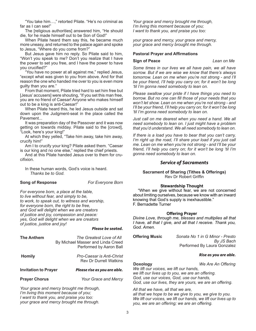"You take him…," retorted Pilate. "He's no criminal as far as I can see!"

The [religious authorities] answered him, "He should die, for he made himself out to be Son of God!"

When Pilate heard them say this, he became much more uneasy, and returned to the palace again and spoke to Jesus, "Where do you come from?"

But Jesus gave him no reply. So Pilate said to him, "Won't you speak to me? Don't you realize that I have the power to set you free, and I have the power to have you crucified?"

"You have no power at all against me," replied Jesus, "except what was given to you from above. And for that reason the one who handed me over to you is even more guilty than you are."

From that moment, Pilate tried hard to set him free but [Jesus' accusers] were shouting, "If you set this man free, you are no friend of Caesar! Anyone who makes himself out to be a king is anti-Caesar!"

When Pilate heard this, he led Jesus outside and sat down upon the Judgment-seat in the place called the Pavement...

It was preparation day of the Passover and it was now getting on towards midday. Pilate said to the [crowd], "Look, here's your king!"

At which they yelled, "Take him away, take him away, crucify him!"

Am I to crucify your king? Pilate asked them. "Caesar is our king and no one else," replied the chief priests.

And at this Pilate handed Jesus over to them for crucifixion.

In these human words, God's voice is heard. *Thanks be to God.*

## **Song of Response** *For Everyone Born*

*For everyone born, a place at the table, to live without fear, and simply to be, to work, to speak out, to witness and worship, for everyone born, the right to be free, and God will delight when we are creators of justice and joy, compassion and peace: yes, God will delight when we are creators of justice, justice and joy!*

# *Please be seated.*

| <b>The Anthem</b>                      | The Greatest Love of All<br>By Michael Masser and Linda Creed<br>Performed by Aaron Ball |
|----------------------------------------|------------------------------------------------------------------------------------------|
| <b>Homily</b>                          | <b>Pro-Caesar is Anti-Christ</b><br><b>Rev Dr Durrell Watkins</b>                        |
| <b>Invitation to Prayer</b>            | Please rise as you are able.                                                             |
| <b>Prayer Chorus</b>                   | Your Grace and Mercy                                                                     |
| I'm living this moment because of you; | Your grace and mercy brought me through,                                                 |

*your grace and mercy brought me through.*

*Your grace and mercy brought me through, I'm living this moment because of you; I want to thank you, and praise you too:* 

*your grace and mercy, your grace and mercy, your grace and mercy brought me through.*

## **Pastoral Prayer and Affirmations**

## **Sign of Peace** *Lean on Me*

*Some times in our lives we all have pain, we all have sorrow. But if we are wise we know that there's always tomorrow. Lean on me when you're not strong - and I'll be your friend, I'll help you carry on; for it won't be long 'til I'm gonna need somebody to lean on.*

*Please swallow your pride if I have things you need to borrow. But no one can fill those of your needs that you won't let show. Lean on me when you're not strong - and I'll be your friend, I'll help you carry on; for it won't be long 'til I'm gonna need somebody to lean on.*

*Just call on me dearest when you need a hand. We all need somebody to lean on. I just might have a problem that you'd understand. We all need somebody to lean on.*

*If there is a load you have to bear that you can't carry, I'm right up the road, I'll share your load if you just call me. Lean on me when you're not strong - and I'll be your friend, I'll help you carry on; for it won't be long 'til I'm gonna need somebody to lean on.*

# *Service of Sacraments*

# **Sacrament of Sharing (Tithes & Offerings)** Rev Dr Robert Griffin

# **Stewardship Thought**

"When we give without fear, we are not concerned about limiting ourselves, because we know with an inward knowing that God's supply is inexhaustible." F. Bernadette Turner

# **Offering Prayer**

*Divine Love, through me, blesses and multiplies all that I have, all that I give, and all that I receive. Thank you, God. Amen.*

**Offering Music** *Sonata No 1 in G Minor - Presto By JS Bach* Performed By Laura Gonzalez

### *Rise as you are able.*

**Doxology** *We Are An Offering* 

*We lift our voices, we lift our hands, we lift our lives up to you, we are an offering. God, use our voices, God, use our hands, God, use our lives, they are yours, we are an offering.* 

*All that we have, all that we are, all that we hope to be we give to you, we give to you. We lift our voices, we lift our hands, we lift our lives up to you, we are an offering; we are an offering.*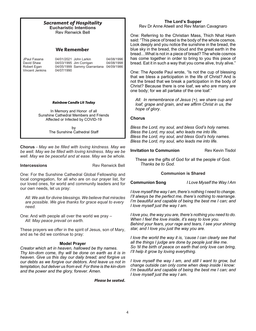| <b>Sacrament of Hospitality</b><br><b>Eucharistic Intentions</b><br><b>Rev Renwick Bell</b>              |                                                                                                            |                          | C<br>s                                |  |
|----------------------------------------------------------------------------------------------------------|------------------------------------------------------------------------------------------------------------|--------------------------|---------------------------------------|--|
| We Remember                                                                                              |                                                                                                            |                          | b                                     |  |
| JPaul Fasana<br>David Shaw<br>Robert Egan<br>Vincent Jenkins                                             | 04/01/2021 John Larkin<br>04/03/1995 Jim Corrigan<br>04/05/1999 Sammy Giarrantana 04/09/1986<br>04/07/1990 | 04/08/1996<br>04/08/1998 | b<br>h<br>b<br>r<br>tl<br>n<br>٢<br>O |  |
| <b>Rainbow Candle Lit Today</b>                                                                          |                                                                                                            |                          |                                       |  |
| In Memory and Honor of all<br>Sunshine Cathedral Members and Friends<br>Affected or Infected by COVID-19 |                                                                                                            |                          | r                                     |  |
|                                                                                                          | b٧<br>The Sunshine Cathedral Staff                                                                         |                          | E<br>E<br>E                           |  |

**Chorus** *- May we be filled with loving kindness. May we be well. May we be filled with loving kindness. May we be well. May we be peaceful and at ease. May we be whole.*

**Intercessions** Rev Renwick Bell

One: For the Sunshine Cathedral Global Fellowship and local congregation, for all who are on our prayer list, for our loved ones, for world and community leaders and for our own needs, let us pray:

*All: We ask for divine blessings. We believe that miracles are possible. We give thanks for grace equal to every need.*

One: And with people all over the world we pray – *All: May peace prevail on earth.*

These prayers we offer in the spirit of Jesus, son of Mary, and as he did we continue to pray:

# **Model Prayer**

*Creator which art in heaven, hallowed be thy names. Thy kin-dom come, thy will be done on earth as it is in heaven. Give us this day our daily bread; and forgive us our debts as we forgive our debtors. And leave us not in temptation, but deliver us from evil. For thine is the kin-dom and the power and the glory, forever. Amen.*

*Please be seated.*

# **The Lord's Supper**

Rev Dr Anne Atwell and Rev Marian Cavagnaro

One: Referring to the Christian Mass, Thich Nhat Hanh said: "This piece of bread is the body of the whole cosmos. Look deeply and you notice the sunshine in the bread, the blue sky in the bread, the cloud and the great earth in the read...What is not in a piece of bread? The whole cosmos as come together in order to bring to you this piece of read. Eat it in such a way that you come alive, truly alive."

One: The Apostle Paul wrote, "Is not the cup of blessing hat we bless a participation in the life of Christ? And is not the bread that we break a participation in the body of Christ? Because there is one loaf, we who are many are ne body; for we all partake of the one loaf."

*All: In remembrance of Jesus (+), we share cup and loaf, grape and grain, and we affirm Christ in us, the hope of glory*.

# **Chorus**

*Bless the Lord, my soul, and bless God's holy names. Bless the Lord, my soul, who leads me into life. Bless the Lord, my soul, and bless God's holy names. Bless the Lord, my soul, who leads me into life.*

# **Invitation to Communion Rev Kevin Tisdol**

These are the gifts of God for all the people of God. *Thanks be to God.*

# **Communion is Shared**

**Communion Song** *I Love Myself the Way I Am*

*I love myself the way I am, there's nothing I need to change. I'll always be the perfect me, there's nothing to rearrange. I'm beautiful and capable of being the best me I can; and I love myself just the way I am.*

*I love you, the way you are, there's nothing you need to do. When I feel the love inside, it's easy to love you. Behind your fears, your rage and tears, I see your shining star, and I love you just the way you are.*

*I love the world the way it is, 'cause I can clearly see that all the things I judge are done by people just like me. So 'til the birth of peace on earth that only love can bring, I'll help it grow by loving everything.*

*I love myself the way I am, and still I want to grow, but change outside can only come when deep inside I know: I'm beautiful and capable of being the best me I can; and I love myself just the way I am.*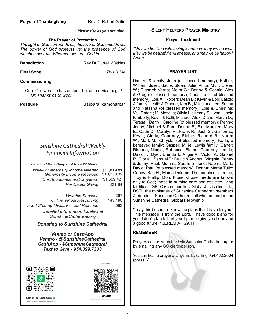# **Prayer of Thanksgiving The Rev Dr Robert Grifin**

# *Please rise as you are able.*

# **The Prayer of Protection**

*The light of God surrounds us; the love of God enfolds us. The power of God protects us; the presence of God watches over us. Wherever we are, God is.*

**Benediction Rev Dr Durrell Watkins** 

**Final Song** *This is Me*

# **Commissioning**

One: Our worship has ended. Let our service begin! *All: Thanks be to God!*

**Postlude Barbara Ramcharitar** 

# *Sunshine Cathedral Weekly Financial Information*

*Financial Data Snapshot from 27 March*

| <b>Weekly Generosity Income Needed</b><br>Generosity Income Received | \$11,819.81<br>\$10,250.39 |
|----------------------------------------------------------------------|----------------------------|
| Our Abundance and/or (Need)                                          | (\$1,569.42)               |
| Per Capita Giving                                                    | \$21.84                    |
|                                                                      |                            |
| <b>Worship Services</b>                                              | 267                        |
| <b>Online Virtual Resourcing</b>                                     | 143,190                    |
| Food Sharing Ministry - Total Reached                                | 583                        |
| Detailed information located at<br>SunshineCathedral.org             |                            |

*Donating to Sunshine Cathedral* 

*Venmo or CashApp Venmo - @SunshineCathedral CashApp - \$SunshineCathedral Text to Give - 954.399.7333*





Sunshine Cathedral **B** Scan to pay \$SunshineCathedral

# **Silent Helpers Prayer Ministry**

# **Prayer Treatment**

*"May we be filled with loving kindness; may we be well. May we be peaceful and at ease, and may we be happy." Amen.*

# **PRAYER LIST**

Dan M. & family; John (of blessed memory); Esther; William; Juliet; Sadie; Sloan; Julie; Anita; MLF; Eileen W.; Richard; Verna; Moira G.; Benny & Connie; Alex & Greg (of blessed memory); Christine J. (of blessed memory); Lois A.; Robert; Dean B.; Kevin & Bob; Laszlo & family; Leslie & Dianne; Ken B.; Milan and Leo; Sasha and Natasha (of blessed memory); Lois & Christine; Val; Rafael; M. Mazella; Olivia L.; Kenny S.; Ivani; Jack; Kimberly; Kevin & Kelli; Michael; Alex; Diane; Martin D.; Teresa; Darryl; Caroline (of blessed memory); Penny; Jonny; Michael & Pam; Donna F.; Elo; Maralee; Mary E.; Cathi C.; Carolyn R.; Frank R.; Josh S.; Guillermo; Kevin; Cindy; Courtney; Elaine; Richard R.; Karen W.; Mark M.; Chrystal (of blessed memory); Karla; a bereaved family; Casper; Millie; Lewis family; Carter; Rhonda; Nicole; Rebecca; Elaine; Courtney; Jamie; David; J. Dyer; Brenda I.; Angie A.; Victor V.; Gabriel P.; Gloria I. Samuel P.; David & Andrew; Virginia; Penny & Jonny; Paul; Momma Sarah; a friend; Naomi; Mark; David; Paul (of blessed memory); Donna; Mama Tullo; Gabby; Ben H.; Mama Dolores; The people of Ukraine; Troy & Phillip; Don; those whose needs are known only to God; those in nursing care and assisted living facilities; LGBTQ+ communities; Global Justice Institute; DSFI; the ministries of Sunshine Cathedral; members & friends of Sunshine Cathedral; all who are part of the Sunshine Cathedral Global Fellowship

"'I say this because I know the plans that I have for you.' This message is from the Lord. 'I have good plans for you. I don't plan to hurt you. I plan to give you hope and a good future.'" JEREMIAH 29.11

# **REMEMBER**

Prayers can be submitted via SunshineCathedral.org or by emailing any SC clergyperson.

You can hear a prayer at anytime by calling 954.462.2004 (press 6).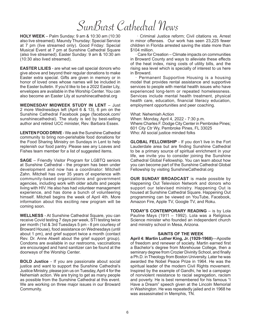# SunBurst Cathedral News

**HOLY WEEK** – Palm Sunday: 9 am & 10:30 am (10:30 also live streamed). Maundy Thursday: Special Service at 7 pm (live streamed only). Good Friday: Special Musical Event at 7 pm at Sunshine Cathedral Square (also live streamed). Easter Sunday: 9 am & 10:30 am (10:30 also lived streamed).

**EASTER LILIES** - are what we call special donors who give above and beyond their regular donations to make Easter extra special. Gifts are given in memory or in honor of loved ones whose names will be included in the Easter bulletin. If you'd like to be a 2022 Easter Lily, envelopes are available in the Worship Center. You can also become an Easter Lily at sunshinecathedral.org

**WEDNESDAY MIDWEEK STUDY IN LENT** – Just 2 more Wednesdays left (April 6 & 13), 6 pm on the Sunshine Cathedral Facebook page (facebook.com/ sunshinecathedral). The study is led by best-selling author and retired UCC minister, Rev. Barbara Essex.

**LENTEN FOOD DRIVE** - We ask the Sunshine Cathedral community to bring non-perishable food donations for the Food Sharing Ministry on Sundays in Lent to help replenish our food pantry. Please see any Loaves and Fishes team member for a list of suggested items.

**SAGE** – Friendly Visitor Program for LGBTQ seniors at Sunshine Cathedral - the program has been under development and now has a coordinator: Mitchell Zahn. Mitchell has over 35 years of experience with community-based organizations and government agencies, including work with older adults and people living with HIV. He also has had volunteer management experience, and has done a bunch of volunteering himself. Mitchell begins the week of April 4th. More information about this exciting new program will be coming soon.

**WELLNESS** - At Sunshine Cathedral Square, you can receive Covid testing 7 days per week, STI testing twice per month (1st & 3rd Tuesdays 5 pm - 8 pm courtesy of Broward House), food assistance on Wednesdays (until about 1 pm), and grief support twice a month (contact Rev. Dr. Anne Atwell about the grief support group). Condoms are available in our restrooms, vaccinations are encouraged and hand sanitizer can be found at the doorways of the Worship Center.

**BOLD Justice** - If you are passionate about social justice and want to support the Sunshine Cathedral's Justice Ministry, please join us on Tuesday, April 4 for the Nehemiah action. We are trying to get as many people as possible from the Sunshine Cathedral at this event. We are working on three major issues in our Broward Community.

 · Criminal Justice reform; Civil citations vs. Arrest in minor offenses. Our work has seen 23,225 fewer children in Florida arrested saving the state more than \$104 million.

Care for Creation – Climate impacts on communities in Broward County and ways to alleviate these effects of the heat index, rising costs of utility bills, and the rising sea level which is specially of interest to us here in Broward.

· Permanent Supportive Housing is a housing model that provides rental assistance and supportive services to people with mental health issues who have experienced long-term or repeated homelessness. Services include mental health treatment, physical health care, education, financial literacy education, employment opportunities and peer coaching.

What: Nehemiah Action

When: Monday, April 4, 2022 - 7:30 p.m. Where:Charles F. Dodge City Center in Pembroke Pines; 601 City Ctr Wy, Pembroke Pines, FL 33025 Who: All social justice minded folks

**GLOBAL FELLOWSHIP** - If you don't live in the Fort Lauderdale area but are finding Sunshine Cathedral to be a primary source of spiritual enrichment in your life, we invite you to consider joining the Sunshine Cathedral Global Fellowship. You can learn about how you can become part of the Sunshine Cathedral Global Fellowship by visiting SunshineCathedral.org

**OUR SUNDAY BROADCAST** is made possible by Happening Out Television Network and donors who support our televised ministry. Happening Out is housed at Sunshine Cathedral Square. Happening Out programming can be viewed on YouTube, Facebook, Amazon Fire, Apple TV, Google TV, and Roku.

**TODAY'S CONTEMPORARY READING** – is by Lola Pauline Mays (1911 – 1992). Lola was a Religious Science minister who founded an independent church and ministry school in Mesa, Arizona.

# **SAINTS OF THE WEEK**

**April 4: Martin Luther King, Jr. (1929-1968)**—Apostle of freedom and renewer of society. Martin earned first a Bachelor's degree from Morehouse College, then a seminary degree from Crozier Divinity School, and finally a Ph.D. in Theology from Boston University. Later he was awarded the Nobel Peace Prize in 1964. He was the spiritual leader of the modern Civil Rights movement. Inspired by the example of Gandhi, he led a campaign of nonviolent resistance to racial segregation, racism and poverty. He is best remembered for his famous "I Have a Dream" speech given at the Lincoln Memorial in Washington. He was repeatedly jailed and in 1968 he was assassinated in Memphis, TN.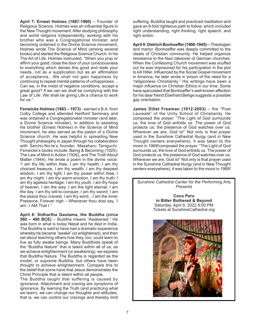**April 7: Ernest Holmes (1887-1960)** – Founder of Religious Science. Holmes was an influential figure in the New Thought movement. After studying philosophy and world religions independently, working with his brother who was a Congregational minister, and becoming ordained in the Divine Science movement, Holmes wrote The Science of Mind (among several books) and started the Religious Science Church. In his The Art of Life, Holmes instructed, "When you pray or affirm your good, close the door of your consciousness to everything which denies this good and state your needs, not as a supplication but as an affirmation of acceptance…We shall not gain happiness by continuing to repeat mental patterns of unhappiness… Can we, in the midst of negative conditions, accept a great good? If we can we shall be complying with the Law of Life. We shall be giving Life a chance to work for us."

**Fenwicke Holmes (1883 – 1973)** - earned a B.A. from Colby College and attended Hartford Seminary and was ordained a Congregationalist minister (and later, a Divine Science minister). In addition to assisting his brother (Ernest Holmes) in the Science of Mind movement, he also served as the pastor of a Divine Science church. He was helpful in spreading New Thought philosophy in Japan through his collaboration with Seicho-No-Ie's founder, Masaharu Taniguchi. Fenwicke's books include: Being & Becoming (1925), The Law of Mind in Action (1926), and The Truth About Matter (1944). He wrote a poem in the divine voice: "I am thy life within thee, I am thy health; I am thy choicest treasure, I am thy wealth. I am thy deepest wisdom, I am thy light; I am thy power within thee, I am thy might. I am thy warm emotion, I am thy truth; I am thy ageless heritage, I am thy youth. I am thy hope of heaven, I am the way; I am the light eternal, I am the day. I am thy will-to-conquer, I am thy sword; I am the peace thou cravest, I am thy word…I am the Inner Presence, Forever nigh – Whenever thou dost say, 'I am': I AM That I."

**April 8: Sidhartha Gautama, the Buddha (circa 560 – 480 BCE)** – Buddha means "Awakened." He was born in what is today Nepal and he died in India. The Buddha is said to have had a dramatic experience whereby he became "awake" (or enlightened), and then set about teaching others how they, too, could learn to live as fully awake beings. Many Buddhists speak of the "Buddha Nature" that is latent within all of us; as we achieve enlightenment (or awakening), we express that Buddha Nature. The Buddha is regarded as the model, or supreme Buddha, but others have been thought to achieve enlightenment. Compare this to the belief that some have that Jesus demonstrates the Christ Principle that is latent within all people.

The Buddha taught that suffering is caused by ignorance. Attachment and craving are symptoms of ignorance. By learning the Truth (and practicing what we learn), we can change our thoughts and attitudes, that is, we can control our cravings and thereby limit

suffering. Buddha taught and practiced meditation and gave an 8-fold righteous path to follow, which included right understanding, right thinking, right speech, and right action.

**April 9: Dietrich Bonhoeffer (1906-1945)**—Theologian and martyr. Bonhoeffer was deeply committed to the ideals of Christian community. He helped organize resistance to the Nazi takeover of German churches. When the Confessing Church movement was snuffed out he was imprisoned for his participation in the plot to kill Hitler. Influenced by the Social Gospel movement in America, he later wrote in prison of the need for a "religionless Christianity." His writings have been a major influence on Christian Ethics in our time. Some have speculated that Bonhoeffer's well-known affection for his dear friend Eberhard Behge suggests a possible gay orientation.

**James Dillet Freeman (1912-2003)** – the "Poet Laureate" of the Unity School of Christianity. He composed the prayer: "The Light of God surrounds us; the love of God enfolds us. The power of God protects us; the presence of God watches over us. Wherever we are, God is!" Not only is that prayer used in the Sunshine Cathedral liturgy (and in New Thought centers everywhere), it was taken to the moon in 1969!composed the prayer: "The Light of God surrounds us; the love of God enfolds us. The power of God protects us; the presence of God watches over us. Wherever we are, God is!" Not only is that prayer used in the Sunshine Cathedral liturgy (and in New Thought centers everywhere), it was taken to the moon in 1969!

*Sunshine Cathedral Center for the Performing Arts Presents*

> **Coco Peru in Bitter Bothered & Beyond** Saturday, April 9, 2022 8:00 PM Tickets at SunshineCathedral.org